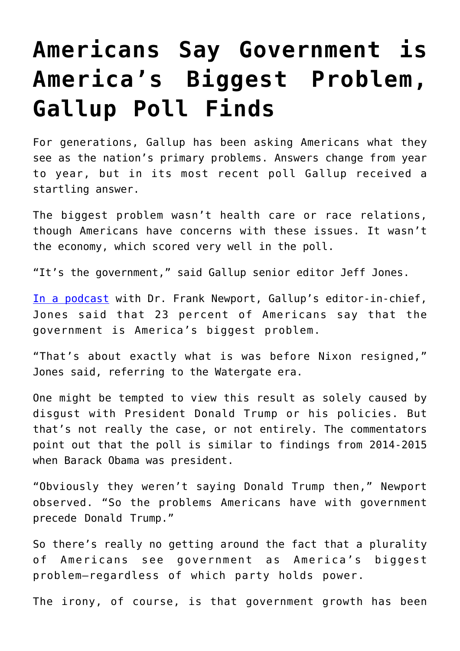## **[Americans Say Government is](https://intellectualtakeout.org/2017/12/americans-say-government-is-americas-biggest-problem-gallup-poll-finds/) [America's Biggest Problem,](https://intellectualtakeout.org/2017/12/americans-say-government-is-americas-biggest-problem-gallup-poll-finds/) [Gallup Poll Finds](https://intellectualtakeout.org/2017/12/americans-say-government-is-americas-biggest-problem-gallup-poll-finds/)**

For generations, Gallup has been asking Americans what they see as the nation's primary problems. Answers change from year to year, but in its most recent poll Gallup received a startling answer.

The biggest problem wasn't health care or race relations, though Americans have concerns with these issues. It wasn't the economy, which scored very well in the poll.

"It's the government," said Gallup senior editor Jeff Jones.

[In a podcast](http://news.gallup.com/podcast/222956/americans-say-biggest-problem-facing.aspx?utm_source=alert&utm_medium=email&utm_content=morelink&utm_campaign=syndication) with Dr. Frank Newport, Gallup's editor-in-chief, Jones said that 23 percent of Americans say that the government is America's biggest problem.

"That's about exactly what is was before Nixon resigned," Jones said, referring to the Watergate era.

One might be tempted to view this result as solely caused by disgust with President Donald Trump or his policies. But that's not really the case, or not entirely. The commentators point out that the poll is similar to findings from 2014-2015 when Barack Obama was president.

"Obviously they weren't saying Donald Trump then," Newport observed. "So the problems Americans have with government precede Donald Trump."

So there's really no getting around the fact that a plurality of Americans see government as America's biggest problem—regardless of which party holds power.

The irony, of course, is that government growth has been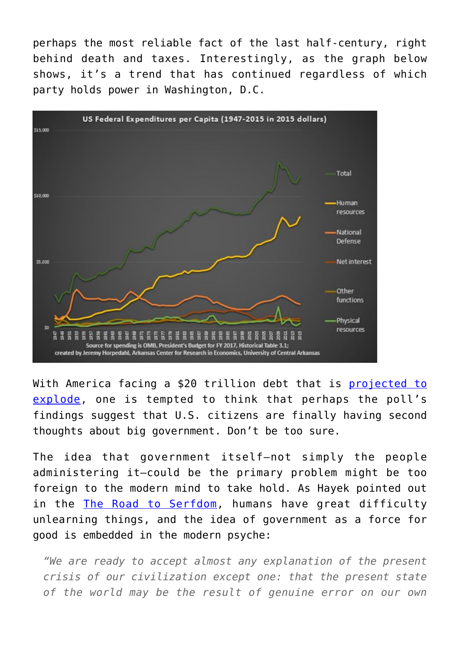perhaps the most reliable fact of the last half-century, right behind death and taxes. Interestingly, as the graph below shows, it's a trend that has continued regardless of which party holds power in Washington, D.C.



With America facing a \$20 trillion debt that is [projected to](https://www.intellectualtakeout.org/article/us-one-generation-away-greece-debt-crisis) [explode](https://www.intellectualtakeout.org/article/us-one-generation-away-greece-debt-crisis), one is tempted to think that perhaps the poll's findings suggest that U.S. citizens are finally having second thoughts about big government. Don't be too sure.

The idea that government itself—not simply the people administering it—could be the primary problem might be too foreign to the modern mind to take hold. As Hayek pointed out in the [The Road to Serfdom](http://amzn.to/2jmwoxd), humans have great difficulty unlearning things, and the idea of government as a force for good is embedded in the modern psyche:

*"We are ready to accept almost any explanation of the present crisis of our civilization except one: that the present state of the world may be the result of genuine error on our own*